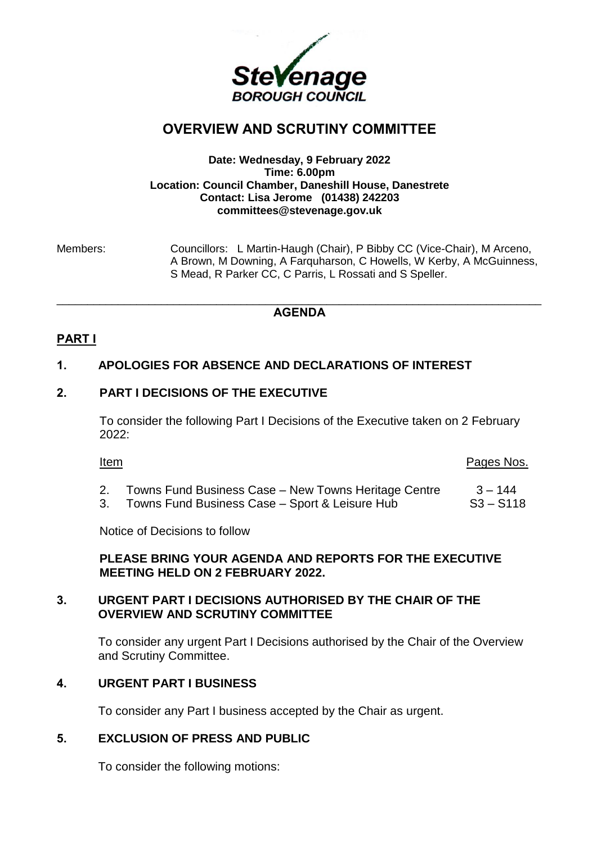

# **OVERVIEW AND SCRUTINY COMMITTEE**

#### **Date: Wednesday, 9 February 2022 Time: 6.00pm Location: Council Chamber, Daneshill House, Danestrete Contact: Lisa Jerome (01438) 242203 committees@stevenage.gov.uk**

Members: Councillors: L Martin-Haugh (Chair), P Bibby CC (Vice-Chair), M Arceno, A Brown, M Downing, A Farquharson, C Howells, W Kerby, A McGuinness, S Mead, R Parker CC, C Parris, L Rossati and S Speller.

#### \_\_\_\_\_\_\_\_\_\_\_\_\_\_\_\_\_\_\_\_\_\_\_\_\_\_\_\_\_\_\_\_\_\_\_\_\_\_\_\_\_\_\_\_\_\_\_\_\_\_\_\_\_\_\_\_\_\_\_\_\_\_\_\_\_\_\_\_\_\_\_\_\_\_\_\_\_\_\_ **AGENDA**

#### **PART I**

## **1. APOLOGIES FOR ABSENCE AND DECLARATIONS OF INTEREST**

## **2. PART I DECISIONS OF THE EXECUTIVE**

To consider the following Part I Decisions of the Executive taken on 2 February  $2022 -$ 

**Item Contract Contract Contract Contract Contract Contract Contract Contract Contract Contract Contract Contract Contract Contract Contract Contract Contract Contract Contract Contract Contract Contract Contract Contract** 

2. Towns Fund Business Case – New Towns Heritage Centre 3 – 144 3. Towns Fund Business Case – Sport & Leisure Hub S3 – S118

Notice of Decisions to follow

## **PLEASE BRING YOUR AGENDA AND REPORTS FOR THE EXECUTIVE MEETING HELD ON 2 FEBRUARY 2022.**

#### **3. URGENT PART I DECISIONS AUTHORISED BY THE CHAIR OF THE OVERVIEW AND SCRUTINY COMMITTEE**

To consider any urgent Part I Decisions authorised by the Chair of the Overview and Scrutiny Committee.

# **4. URGENT PART I BUSINESS**

To consider any Part I business accepted by the Chair as urgent.

#### **5. EXCLUSION OF PRESS AND PUBLIC**

To consider the following motions: